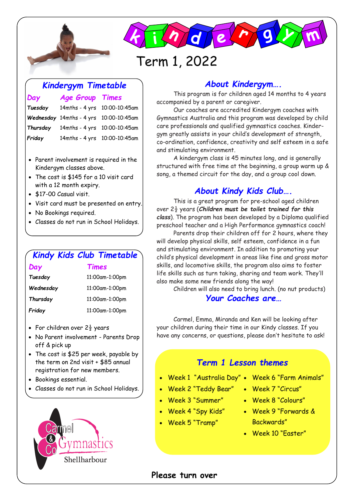



# Term 1, 2022

### *Kindergym Timetable*

*Day Age Group Times*

# *Tuesday* 14mths - 4 yrs 10:00-10:45am *Wednesday* 14mths - 4 yrs 10:00-10:45am *Thursday* 14mths - 4 yrs 10:00-10:45am *Friday* 14mths - 4 yrs 10:00-10:45am

- Parent involvement is required in the Kindergym classes above.
- The cost is \$145 for a 10 visit card with a 12 month expiry.
- \$17-00 Casual visit.
- Visit card must be presented on entry.
- No Bookings required.
- Classes do not run in School Holidays.

# *Kindy Kids Club Timetable*

#### *Day Times*

| Tuesday   | 11:00am-1:00pm |
|-----------|----------------|
| Wednesday | 11:00am-1:00pm |
| Thursday  | 11:00am-1:00pm |
| Friday    | 11:00am-1:00pm |

- For children over  $2\frac{1}{2}$  years
- No Parent involvement Parents Drop off & pick up
- The cost is \$25 per week, payable by the term on 2nd visit + \$85 annual registration for new members.
- Bookings essential.
- Classes do not run in School Holidays.



# *About Kindergym….*

This program is for children aged 14 months to 4 years accompanied by a parent or caregiver.

Our coaches are accredited Kindergym coaches with Gymnastics Australia and this program was developed by child care professionals and qualified gymnastics coaches. Kindergym greatly assists in your child's development of strength, co-ordination, confidence, creativity and self esteem in a safe and stimulating environment.

A kindergym class is 45 minutes long, and is generally structured with free time at the beginning, a group warm up & song, a themed circuit for the day, and a group cool down.

# *About Kindy Kids Club….*

This is a great program for pre-school aged children over 2½ years (*Children must be toilet trained for this class*). The program has been developed by a Diploma qualified preschool teacher and a High Performance gymnastics coach!

Parents drop their children off for 2 hours, where they will develop physical skills, self esteem, confidence in a fun and stimulating environment. In addition to promoting your child's physical development in areas like fine and gross motor skills, and locomotive skills, the program also aims to foster life skills such as turn taking, sharing and team work. They'll also make some new friends along the way!

Children will also need to bring lunch. (no nut products) *Your Coaches are…*

Carmel, Emma, Miranda and Ken will be looking after your children during their time in our Kindy classes. If you have any concerns, or questions, please don't hesitate to ask!

## *Term 1 Lesson themes*

- Week 1 "Australia Day" Week 6 "Farm Animals"
- Week 2 "Teddy Bear"
	-
- Week 3 "Summer"
- Week 4 "Spy Kids"
- Week 5 "Tramp"
- 
- Week 7 "Circus"
- Week 8 "Colours"
- Week 9 "Forwards & Backwards"
	- Week 10 "Easter"

#### **Please turn over**